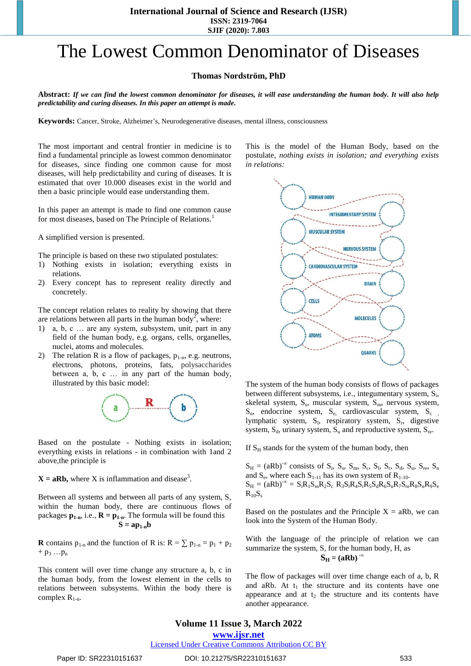**SJIF (2020): 7.803**

# The Lowest Common Denominator of Diseases

#### **Thomas Nordström, PhD**

**Abstract:** *If we can find the lowest common denominator for diseases, it will ease understanding the human body. It will also help predictability and curing diseases. In this paper an attempt is made.*

**Keywords:** Cancer, Stroke, Alzheimer's, Neurodegenerative diseases, mental illness, consciousness

The most important and central frontier in medicine is to find a fundamental principle as lowest common denominator for diseases, since finding one common cause for most diseases, will help predictability and curing of diseases. It is estimated that over 10.000 diseases exist in the world and then a basic principle would ease understanding them.

In this paper an attempt is made to find one common cause for most diseases, based on The Principle of Relations.<sup>1</sup>

A simplified version is presented.

The principle is based on these two stipulated postulates:

- 1) Nothing exists in isolation; everything exists in relations.
- 2) Every concept has to represent reality directly and concretely.

The concept relation relates to reality by showing that there are relations between all parts in the human body<sup>2</sup>, where:

- 1) a, b, c … are any system, subsystem, unit, part in any field of the human body, e.g. organs, cells, organelles, nuclei, atoms and molecules.
- 2) The relation R is a flow of packages,  $p_{1-n}$ , e.g. neutrons, electrons, photons, proteins, fats, polysaccharides between a, b, c … in any part of the human body, illustrated by this basic model:



Based on the postulate - Nothing exists in isolation; everything exists in relations - in combination with 1and 2 above,the principle is

 $X = aRb$ , where X is inflammation and disease<sup>3</sup>.

Between all systems and between all parts of any system, S, within the human body, there are continuous flows of packages  $p_{1-n}$ , i.e.,  $R = p_{1-n}$ . The formula will be found this  $S = ap<sub>1-n</sub>b$ 

**R** contains  $p_{1-n}$  and the function of R is:  $R = \sum p_{1-n} = p_1 + p_2$  $+ p_3 \ldots p_n$ 

This content will over time change any structure a, b, c in the human body, from the lowest element in the cells to relations between subsystems. Within the body there is complex  $R_{1-n}$ .

This is the model of the Human Body, based on the postulate, *nothing exists in isolation; and everything exists in relations:* 



The system of the human body consists of flows of packages between different subsystems, i.e., integumentary system, S<sub>i</sub>, skeletal system, S<sub>s</sub>, muscular system, S<sub>m</sub>, nervous system,  $S_n$ , endocrine system,  $S_{e_i}$  cardiovascular system,  $S_{c_i}$ lymphatic system, S<sub>1</sub>, respiratory system, S<sub>r</sub>, digestive system,  $S_d$ , urinary system,  $S_u$  and reproductive system,  $S_{re}$ .

If  $S_H$  stands for the system of the human body, then

 $S_H = (aRb)^{-\infty}$  consists of  $S_i$ ,  $S_s$ ,  $S_m$ ,  $S_c$ ,  $S_l$ ,  $S_r$ ,  $S_d$ ,  $S_u$ ,  $S_{re}$ ,  $S_n$ and  $S_e$ , where each  $S_{1-11}$  has its own system of  $R_{1-10}$ .  $S_H = (aRb)^{-\infty} = S_iR_1S_mR_2S_c$   $R_3S_1R_4S_rR_5S_dR_6S_uR_7S_{re}R_8S_nR_9S_e$  $R_{10}S_s$ 

Based on the postulates and the Principle  $X = aRb$ , we can look into the System of the Human Body.

With the language of the principle of relation we can summarize the system, S, for the human body, H, as  $S_H = (aRb)^{-\infty}$ 

The flow of packages will over time change each of a, b, R and aRb. At  $t_1$  the structure and its contents have one appearance and at  $t_2$  the structure and its contents have another appearance.

### **Volume 11 Issue 3, March 2022 www.ijsr.net**

Licensed Under Creative Commons Attribution CC BY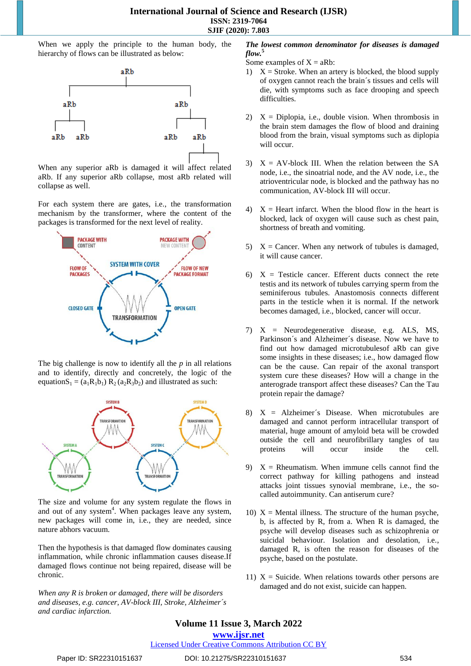When we apply the principle to the human body, the hierarchy of flows can be illustrated as below:



When any superior aRb is damaged it will affect related aRb. If any superior aRb collapse, most aRb related will collapse as well.

For each system there are gates, i.e., the transformation mechanism by the transformer, where the content of the packages is transformed for the next level of reality.



The big challenge is now to identify all the *p* in all relations and to identify, directly and concretely, the logic of the equation $S_1 = (a_1R_1b_1) R_2 (a_2R_3b_2)$  and illustrated as such:



The size and volume for any system regulate the flows in and out of any system<sup>4</sup>. When packages leave any system, new packages will come in, i.e., they are needed, since nature abhors vacuum.

Then the hypothesis is that damaged flow dominates causing inflammation, while chronic inflammation causes disease.If damaged flows continue not being repaired, disease will be chronic.

*When any R is broken or damaged, there will be disorders and diseases, e.g. cancer, AV-block III, Stroke, Alzheimer´s and cardiac infarction.* 

#### *The lowest common denominator for diseases is damaged flow.***<sup>5</sup>**

Some examples of  $X = aRb$ :

- 1)  $X =$  Stroke. When an artery is blocked, the blood supply of oxygen cannot reach the brain´s tissues and cells will die, with symptoms such as face drooping and speech difficulties.
- 2)  $X = Diplopia$ , i.e., double vision. When thrombosis in the brain stem damages the flow of blood and draining blood from the brain, visual symptoms such as diplopia will occur.
- 3)  $X = AV-block III$ . When the relation between the SA node, i.e., the sinoatrial node, and the AV node, i.e., the atrioventricular node, is blocked and the pathway has no communication, AV-block III will occur.
- 4)  $X =$  Heart infarct. When the blood flow in the heart is blocked, lack of oxygen will cause such as chest pain, shortness of breath and vomiting.
- 5)  $X =$  Cancer. When any network of tubules is damaged, it will cause cancer.
- 6)  $X =$  Testicle cancer. Efferent ducts connect the rete testis and its network of tubules carrying sperm from the seminiferous tubules. Anastomosis connects different parts in the testicle when it is normal. If the network becomes damaged, i.e., blocked, cancer will occur.
- 7) X = Neurodegenerative disease, e.g. ALS, MS, Parkinson´s and Alzheimer´s disease. Now we have to find out how damaged microtubulesof aRb can give some insights in these diseases; i.e., how damaged flow can be the cause. Can repair of the axonal transport system cure these diseases? How will a change in the anterograde transport affect these diseases? Can the Tau protein repair the damage?
- 8)  $X =$  Alzheimer's Disease. When microtubules are damaged and cannot perform intracellular transport of material, huge amount of amyloid beta will be crowded outside the cell and neurofibrillary tangles of tau proteins will occur inside the cell.
- 9)  $X =$  Rheumatism. When immune cells cannot find the correct pathway for killing pathogens and instead attacks joint tissues synovial membrane, i.e., the socalled autoimmunity. Can antiserum cure?
- 10)  $X =$  Mental illness. The structure of the human psyche, b, is affected by R, from a. When R is damaged, the psyche will develop diseases such as schizophrenia or suicidal behaviour. Isolation and desolation, i.e., damaged R, is often the reason for diseases of the psyche, based on the postulate.
- 11)  $X =$  Suicide. When relations towards other persons are damaged and do not exist, suicide can happen.

## **Volume 11 Issue 3, March 2022**

**www.ijsr.net**

Licensed Under Creative Commons Attribution CC BY